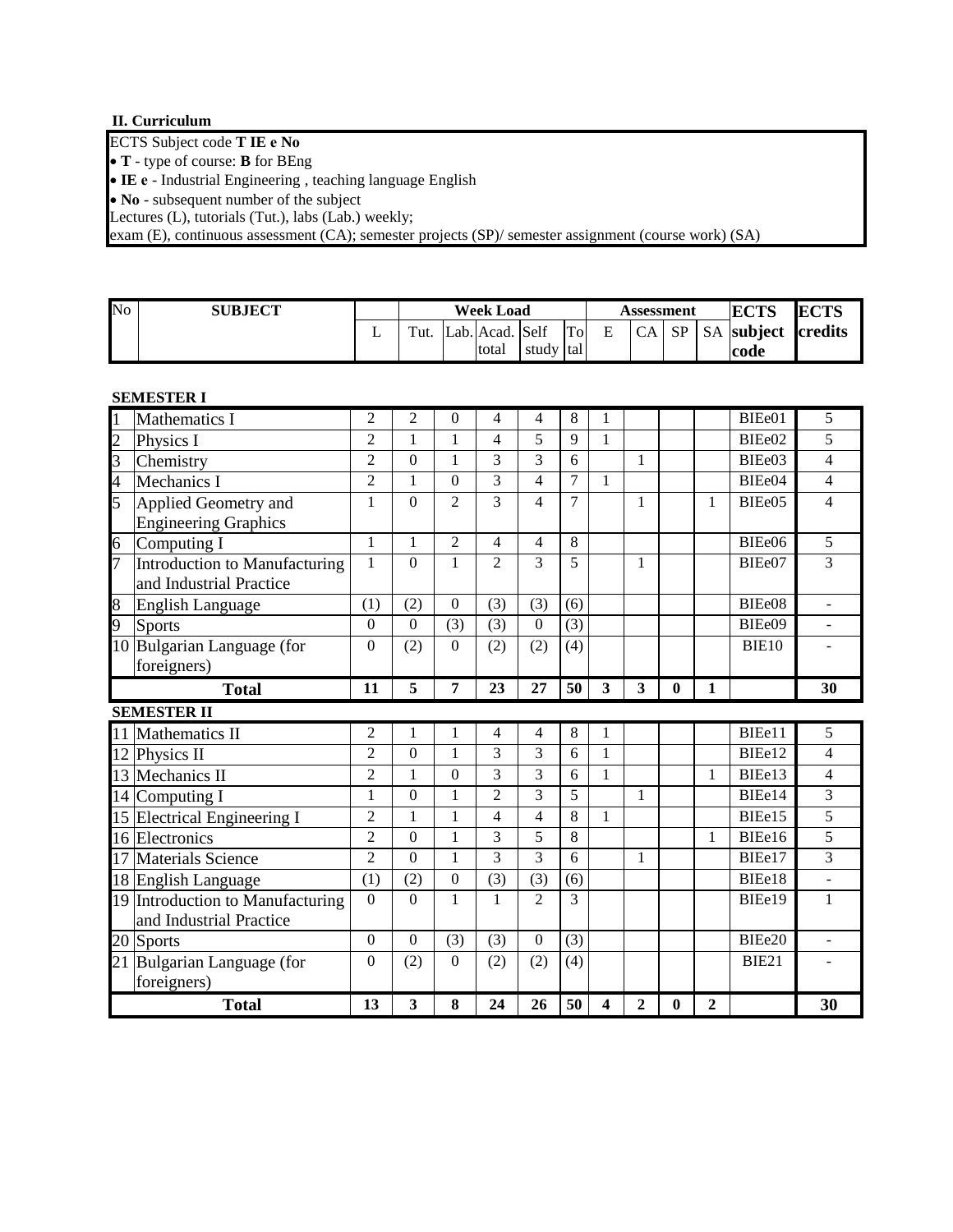# **II. Curriculum**

ECTS Subject code **T IE е Nо**

**T** - type of course: **B** for BEng

**IE е** - Industrial Engineering , teaching language English

• **No** - subsequent number of the subject

Lectures (L), tutorials (Tut.), labs (Lab.) weekly;

exam (E), continuous assessment (CA); semester projects (SP)/ semester assignment (course work) (SA)

| No | <b>SUBJECT</b> |   |      |                 |           |     | <b>Assessment</b> | <b>ECTS</b> | ECTS |                    |  |
|----|----------------|---|------|-----------------|-----------|-----|-------------------|-------------|------|--------------------|--|
|    |                | ∸ | Tut. | Lab. Acad. Self |           | Tol | E                 | CA          | SP   | SA subject credits |  |
|    |                |   |      | total           | study tal |     |                   |             |      | code               |  |

## **SEMESTER I**

| $\mathbf{1}$   | <b>Mathematics I</b>             | 2              | 2              | $\mathbf{0}$     | 4                        | $\overline{4}$ | 8              | 1            |              |   |   | BIEe01       | 5              |
|----------------|----------------------------------|----------------|----------------|------------------|--------------------------|----------------|----------------|--------------|--------------|---|---|--------------|----------------|
| $\overline{c}$ | Physics I                        | $\overline{2}$ | 1              | $\mathbf{1}$     | 4                        | 5              | 9              | $\mathbf{1}$ |              |   |   | BIEe02       | 5              |
| $\overline{3}$ | Chemistry                        | $\overline{2}$ | $\overline{0}$ | $\mathbf{1}$     | 3                        | 3              | 6              |              | 1            |   |   | BIEe03       | $\overline{4}$ |
| $\overline{4}$ | Mechanics I                      | $\overline{2}$ | $\mathbf{1}$   | $\overline{0}$   | $\overline{3}$           | $\overline{4}$ | $\overline{7}$ | $\mathbf{1}$ |              |   |   | BIEe04       | $\overline{4}$ |
| 5              | Applied Geometry and             | 1              | $\overline{0}$ | $\overline{2}$   | $\overline{3}$           | $\overline{4}$ | $\overline{7}$ |              | 1            |   | 1 | BIEe05       | 4              |
|                | <b>Engineering Graphics</b>      |                |                |                  |                          |                |                |              |              |   |   |              |                |
| $\overline{6}$ | Computing I                      | $\mathbf{1}$   | 1              | $\overline{2}$   | 4                        | $\overline{4}$ | 8              |              |              |   |   | BIEe06       | 5              |
| $\overline{7}$ | Introduction to Manufacturing    | 1              | $\theta$       | 1                | $\overline{2}$           | 3              | 5              |              | 1            |   |   | BIEe07       | 3              |
|                | and Industrial Practice          |                |                |                  |                          |                |                |              |              |   |   |              |                |
| 8              | <b>English Language</b>          | (1)            | (2)            | $\boldsymbol{0}$ | (3)                      | (3)            | (6)            |              |              |   |   | BIEe08       | $\blacksquare$ |
| 9              | <b>Sports</b>                    | $\overline{0}$ | $\overline{0}$ | (3)              | (3)                      | $\overline{0}$ | (3)            |              |              |   |   | BIEe09       |                |
|                | 10 Bulgarian Language (for       | $\theta$       | (2)            | $\overline{0}$   | (2)                      | (2)            | (4)            |              |              |   |   | <b>BIE10</b> |                |
|                | foreigners)                      |                |                |                  |                          |                |                |              |              |   |   |              |                |
|                | <b>Total</b>                     | 11             | 5              | 7                | 23                       | 27             | 50             | 3            | 3            | 0 | 1 |              | 30             |
|                | <b>SEMESTER II</b>               |                |                |                  |                          |                |                |              |              |   |   |              |                |
|                |                                  |                |                |                  |                          |                |                |              |              |   |   |              |                |
| 11             | Mathematics II                   | $\overline{2}$ | $\mathbf{1}$   | 1                | 4                        | $\overline{4}$ | 8              | 1            |              |   |   | BIEe11       | 5              |
|                | 12 Physics II                    | $\overline{2}$ | $\overline{0}$ | $\mathbf{1}$     | 3                        | 3              | 6              | $\mathbf{1}$ |              |   |   | BIEe12       | 4              |
|                | 13 Mechanics II                  | $\overline{2}$ | 1              | $\mathbf{0}$     | 3                        | 3              | 6              | $\mathbf{1}$ |              |   | 1 | BIEe13       | 4              |
|                | 14 Computing I                   | $\mathbf{1}$   | $\overline{0}$ | $\mathbf{1}$     | $\overline{2}$           | $\overline{3}$ | $\overline{5}$ |              | $\mathbf{1}$ |   |   | BIEe14       | $\overline{3}$ |
|                | 15 Electrical Engineering I      | $\overline{2}$ | $\mathbf{1}$   | $\mathbf{1}$     | $\overline{\mathcal{L}}$ | $\overline{4}$ | 8              | $\mathbf{1}$ |              |   |   | BIEe15       | 5              |
|                | 16 Electronics                   | $\overline{2}$ | $\overline{0}$ | $\mathbf{1}$     | $\overline{3}$           | 5              | $\overline{8}$ |              |              |   | 1 | BIEe16       | $\overline{5}$ |
|                | 17 Materials Science             | $\overline{2}$ | $\overline{0}$ | $\mathbf{1}$     | 3                        | 3              | 6              |              | 1            |   |   | BIEe17       | $\overline{3}$ |
|                | 18 English Language              | (1)            | (2)            | $\overline{0}$   | (3)                      | (3)            | (6)            |              |              |   |   | BIEe18       |                |
|                | 19 Introduction to Manufacturing | $\Omega$       | $\Omega$       | 1                | $\mathbf{1}$             | $\overline{2}$ | 3              |              |              |   |   | BIEe19       | $\mathbf{1}$   |
|                | and Industrial Practice          |                |                |                  |                          |                |                |              |              |   |   |              |                |
|                | 20 Sports                        | $\Omega$       | $\overline{0}$ | (3)              | (3)                      | $\overline{0}$ | (3)            |              |              |   |   | BIEe20       | $\overline{a}$ |
|                | 21 Bulgarian Language (for       | $\theta$       | (2)            | $\mathbf{0}$     | (2)                      | (2)            | (4)            |              |              |   |   | BIE21        |                |
|                | foreigners)                      |                |                |                  |                          |                |                |              |              |   |   |              |                |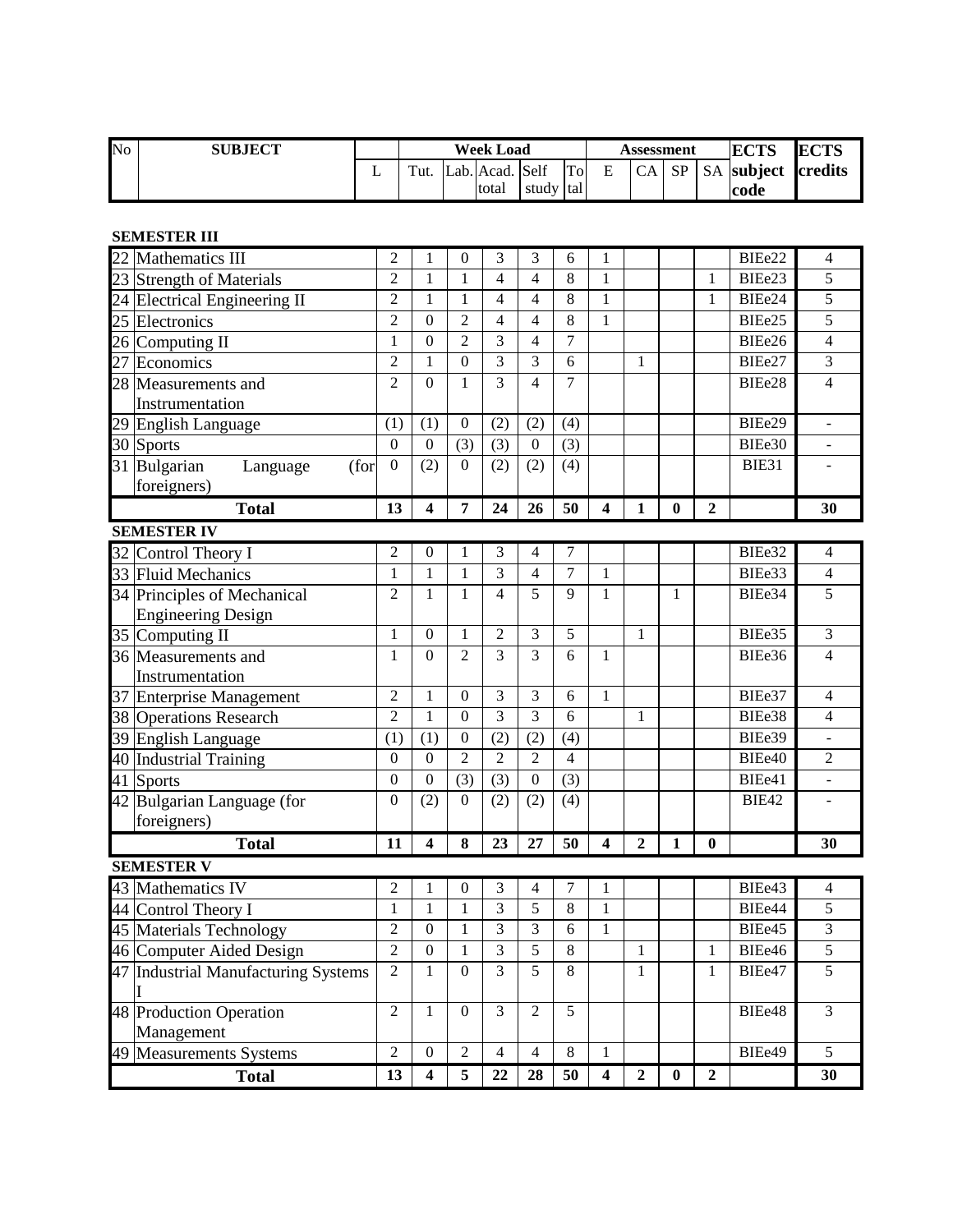| No | <b>SUBJECT</b> |         |                 |           | Assessment |   | <b>ECTS</b> | ECTS |                    |  |
|----|----------------|---------|-----------------|-----------|------------|---|-------------|------|--------------------|--|
|    |                | $T$ ut. | Lab. Acad. Self |           | Tol        | E | CA          | SP   | SA subject credits |  |
|    |                |         | total           | study tal |            |   |             |      | code               |  |

# **SEMESTER III**

| 22 | Mathematics III                       | $\overline{c}$                                                   | 1                       | $\overline{0}$   | 3              | 3                | 6              | 1                       |                  |                  |                  | BIEe22       | 4                       |
|----|---------------------------------------|------------------------------------------------------------------|-------------------------|------------------|----------------|------------------|----------------|-------------------------|------------------|------------------|------------------|--------------|-------------------------|
| 23 | <b>Strength of Materials</b>          | $\overline{c}$                                                   | 1                       | 1                | 4              | 4                | 8              | 1                       |                  |                  | 1                | BIEe23       | 5                       |
| 24 | Electrical Engineering II             | $\overline{c}$                                                   | 1                       | 1                | 4              | 4                | 8              | 1                       |                  |                  | 1                | BIEe24       | 5                       |
| 25 | Electronics                           | $\overline{c}$                                                   | $\boldsymbol{0}$        | $\overline{2}$   | 4              | 4                | 8              | $\mathbf{1}$            |                  |                  |                  | BIEe25       | 5                       |
| 26 | Computing II                          | $\mathbf{1}$                                                     | $\boldsymbol{0}$        | $\overline{2}$   | 3              | $\overline{4}$   | $\overline{7}$ |                         |                  |                  |                  | BIEe26       | $\overline{\mathbf{4}}$ |
| 27 | Economics                             | $\overline{c}$                                                   | 1                       | $\overline{0}$   | 3              | 3                | 6              |                         | $\mathbf{1}$     |                  |                  | BIEe27       | 3                       |
|    | 28 Measurements and                   | $\overline{2}$                                                   | $\boldsymbol{0}$        | $\mathbf 1$      | 3              | $\overline{4}$   | 7              |                         |                  |                  |                  | BIEe28       | $\overline{\mathbf{4}}$ |
|    | Instrumentation                       |                                                                  |                         |                  |                |                  |                |                         |                  |                  |                  |              |                         |
|    | 29 English Language                   | (1)                                                              | (1)                     | $\boldsymbol{0}$ | (2)            | (2)              | (4)            |                         |                  |                  |                  | BIEe29       | $\Box$                  |
|    | 30 Sports                             | $\boldsymbol{0}$                                                 | $\boldsymbol{0}$        | (3)              | (3)            | $\boldsymbol{0}$ | (3)            |                         |                  |                  |                  | BIEe30       | ÷,                      |
| 31 | Bulgarian<br>(for<br>Language         | $\boldsymbol{0}$                                                 | (2)                     | $\theta$         | (2)            | (2)              | (4)            |                         |                  |                  |                  | BIE31        |                         |
|    | foreigners)                           |                                                                  |                         |                  |                |                  |                |                         |                  |                  |                  |              |                         |
|    | <b>Total</b>                          | 13                                                               | 4                       | 7                | 24             | 26               | 50             | 4                       | $\mathbf{1}$     | $\boldsymbol{0}$ | $\mathbf{2}$     |              | 30                      |
|    | <b>SEMESTER IV</b>                    |                                                                  |                         |                  |                |                  |                |                         |                  |                  |                  |              |                         |
|    | 32 Control Theory I                   | $\mathfrak{2}% _{T}=\mathfrak{2}_{T}\!\left( T_{T_{1}}\right) ,$ | $\boldsymbol{0}$        | 1                | 3              | 4                | 7              |                         |                  |                  |                  | BIEe32       | $\overline{4}$          |
|    | 33 Fluid Mechanics                    | $\mathbf{1}$                                                     | $\mathbf{1}$            | 1                | 3              | $\overline{4}$   | $\overline{7}$ | 1                       |                  |                  |                  | BIEe33       | $\overline{\mathbf{4}}$ |
|    | 34 Principles of Mechanical           | $\overline{2}$                                                   | $\mathbf{1}$            | $\mathbf{1}$     | $\overline{4}$ | 5                | 9              | $\mathbf{1}$            |                  | 1                |                  | BIEe34       | $\overline{5}$          |
|    | <b>Engineering Design</b>             |                                                                  |                         |                  |                |                  |                |                         |                  |                  |                  |              |                         |
|    | 35 Computing II                       | 1                                                                | $\boldsymbol{0}$        | 1                | $\overline{2}$ | 3                | 5              |                         | $\mathbf{1}$     |                  |                  | BIEe35       | $\mathfrak{Z}$          |
|    | 36 Measurements and                   | 1                                                                | $\boldsymbol{0}$        | $\overline{2}$   | 3              | $\overline{3}$   | 6              | 1                       |                  |                  |                  | BIEe36       | $\overline{\mathbf{4}}$ |
|    | Instrumentation                       |                                                                  |                         |                  |                |                  |                |                         |                  |                  |                  |              |                         |
| 37 | <b>Enterprise Management</b>          | $\overline{2}$                                                   | 1                       | $\overline{0}$   | 3              | 3                | 6              | 1                       |                  |                  |                  | BIEe37       | $\overline{4}$          |
| 38 | <b>Operations Research</b>            | $\overline{c}$                                                   | 1                       | $\overline{0}$   | 3              | $\overline{3}$   | 6              |                         | 1                |                  |                  | BIEe38       | $\overline{\mathbf{4}}$ |
| 39 | English Language                      | (1)                                                              | (1)                     | $\boldsymbol{0}$ | (2)            | (2)              | (4)            |                         |                  |                  |                  | BIEe39       | $\blacksquare$          |
| 40 | <b>Industrial Training</b>            | $\boldsymbol{0}$                                                 | $\mathbf{0}$            | $\overline{2}$   | $\overline{2}$ | $\overline{2}$   | 4              |                         |                  |                  |                  | BIEe40       | $\overline{2}$          |
| 41 | Sports                                | $\boldsymbol{0}$                                                 | $\mathbf{0}$            | (3)              | (3)            | $\overline{0}$   | (3)            |                         |                  |                  |                  | BIEe41       | $\overline{a}$          |
|    | 42 Bulgarian Language (for            | $\boldsymbol{0}$                                                 | (2)                     | $\mathbf{0}$     | (2)            | (2)              | (4)            |                         |                  |                  |                  | <b>BIE42</b> |                         |
|    | foreigners)                           |                                                                  |                         |                  |                |                  |                |                         |                  |                  |                  |              |                         |
|    | <b>Total</b>                          | 11                                                               | 4                       | 8                | 23             | 27               | 50             | 4                       | $\overline{2}$   | $\mathbf{1}$     | $\bf{0}$         |              | 30                      |
|    | <b>SEMESTER V</b>                     |                                                                  |                         |                  |                |                  |                |                         |                  |                  |                  |              |                         |
|    | 43 Mathematics IV                     | $\mathfrak{2}% =\mathfrak{2}\left( \mathfrak{2}\right) ^{2}$     | 1                       | $\boldsymbol{0}$ | 3              | 4                | 7              | 1                       |                  |                  |                  | BIEe43       | 4                       |
| 44 | Control Theory I                      | $\mathbf{1}$                                                     | 1                       | 1                | 3              | 5                | 8              | 1                       |                  |                  |                  | BIEe44       | 5                       |
|    | 45 Materials Technology               | $\overline{c}$                                                   | $\boldsymbol{0}$        | 1                | 3              | 3                | 6              | 1                       |                  |                  |                  | BIEe45       | 3                       |
|    | 46 Computer Aided Design              | $\sqrt{2}$                                                       | $\boldsymbol{0}$        | $\mathbf{1}$     | 3              | 5                | 8              |                         | $\mathbf{I}$     |                  | $\mathbf{I}$     | BIEe46       | 5                       |
|    | 47 Industrial Manufacturing Systems   | $\overline{2}$                                                   | 1                       | $\overline{0}$   | 3              | 5                | 8              |                         | 1                |                  | 1                | BIEe47       | 5                       |
|    | 48 Production Operation<br>Management | $\overline{2}$                                                   | $\mathbf{1}$            | $\boldsymbol{0}$ | 3              | $\overline{c}$   | 5              |                         |                  |                  |                  | BIEe48       | $\overline{3}$          |
|    | 49 Measurements Systems               | $\overline{2}$                                                   | $\mathbf{0}$            | $\overline{2}$   | $\overline{4}$ | $\overline{4}$   | 8              | $\mathbf{1}$            |                  |                  |                  | BIEe49       | $\overline{5}$          |
|    |                                       | 13                                                               | $\overline{\mathbf{4}}$ | 5                | 22             | 28               | 50             | $\overline{\mathbf{4}}$ | $\boldsymbol{2}$ | $\boldsymbol{0}$ | $\boldsymbol{2}$ |              | 30                      |
|    | <b>Total</b>                          |                                                                  |                         |                  |                |                  |                |                         |                  |                  |                  |              |                         |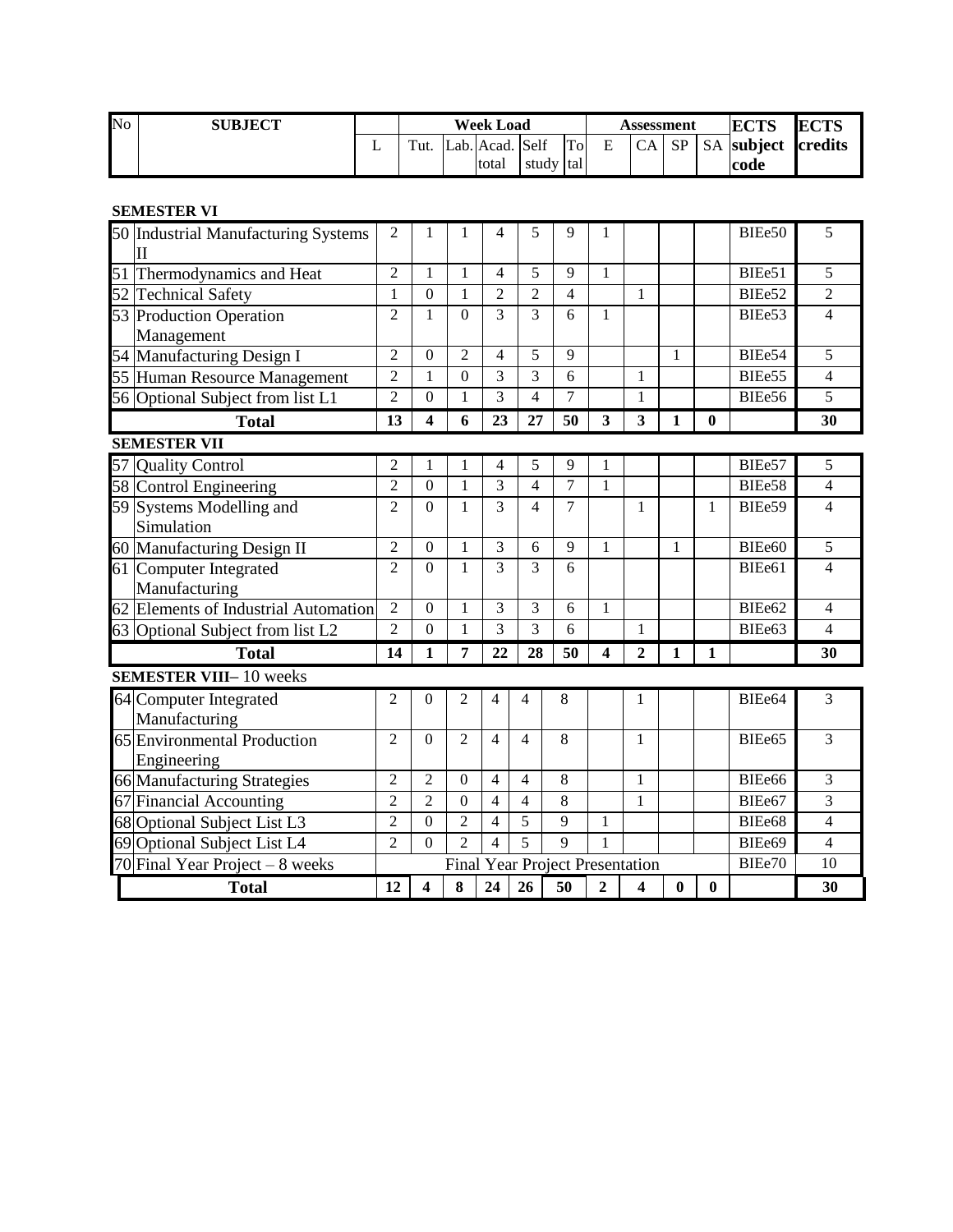| N <sub>o</sub> | <b>SUBJECT</b> |   |         | <b>Week Load</b> |             |    |   |      | Assessment | <b>ECTS</b> | <b>ECTS</b>               |  |
|----------------|----------------|---|---------|------------------|-------------|----|---|------|------------|-------------|---------------------------|--|
|                |                | ∸ | $T$ ut. | Lab. Acad. Self  |             | To | E | CA I | SP         |             | <b>SA</b> subject credits |  |
|                |                |   |         | total            | study Itall |    |   |      |            |             | code                      |  |

# **SEMESTER VI**

| SEMESTER VI                                                |                |                         |                  |                |                          |                                        |                         |                |          |          |        |                |
|------------------------------------------------------------|----------------|-------------------------|------------------|----------------|--------------------------|----------------------------------------|-------------------------|----------------|----------|----------|--------|----------------|
| 50 Industrial Manufacturing Systems<br>$\overline{\rm II}$ | 2              | 1                       |                  | 4              | 5                        | 9                                      |                         |                |          |          | BIEe50 | 5              |
|                                                            | $\overline{2}$ | $\mathbf{1}$            | $\mathbf{1}$     | $\overline{4}$ | 5                        | 9                                      | $\mathbf{1}$            |                |          |          | BIEe51 | 5              |
| 51 Thermodynamics and Heat<br>52 Technical Safety          | 1              | $\boldsymbol{0}$        | 1                | $\overline{2}$ | $\overline{2}$           | 4                                      |                         | 1              |          |          | BIEe52 | $\overline{2}$ |
| 53 Production Operation                                    | $\overline{2}$ | 1                       | $\overline{0}$   | 3              | 3                        | 6                                      | $\mathbf{1}$            |                |          |          | BIEe53 | $\overline{4}$ |
| Management                                                 |                |                         |                  |                |                          |                                        |                         |                |          |          |        |                |
|                                                            | $\overline{2}$ | $\Omega$                | $\overline{2}$   | $\overline{4}$ | 5                        | 9                                      |                         |                | 1        |          | BIEe54 | 5              |
| 54 Manufacturing Design I<br>55 Human Resource Management  | $\overline{2}$ | 1                       | $\boldsymbol{0}$ | 3              | 3                        | 6                                      |                         | 1              |          |          | BIEe55 | $\overline{4}$ |
| 56 Optional Subject from list L1                           | $\overline{2}$ | $\Omega$                | 1                | 3              | $\overline{\mathcal{L}}$ | 7                                      |                         | 1              |          |          | BIEe56 | 5              |
| <b>Total</b>                                               | 13             | $\overline{\mathbf{4}}$ | 6                | 23             | 27                       | 50                                     | 3                       | 3              | 1        | $\bf{0}$ |        | 30             |
| <b>SEMESTER VII</b>                                        |                |                         |                  |                |                          |                                        |                         |                |          |          |        |                |
| 57 Quality Control                                         | $\overline{2}$ | 1                       |                  | 4              | 5                        | 9                                      |                         |                |          |          | BIEe57 | 5              |
| 58 Control Engineering                                     | $\overline{2}$ | $\theta$                | 1                | 3              | $\overline{4}$           | $\overline{7}$                         | 1                       |                |          |          | BIEe58 | $\overline{4}$ |
| 59 Systems Modelling and                                   | $\overline{2}$ | $\overline{0}$          | 1                | 3              | $\overline{4}$           | 7                                      |                         | 1              |          | 1        | BIEe59 | $\overline{4}$ |
| Simulation                                                 |                |                         |                  |                |                          |                                        |                         |                |          |          |        |                |
| 60 Manufacturing Design II                                 | 2              | $\Omega$                | 1                | 3              | 6                        | 9                                      | 1                       |                | 1        |          | BIEe60 | 5              |
| 61 Computer Integrated                                     | $\overline{2}$ | $\Omega$                | $\mathbf{1}$     | 3              | 3                        | 6                                      |                         |                |          |          | BIEe61 | 4              |
| Manufacturing                                              |                |                         |                  |                |                          |                                        |                         |                |          |          |        |                |
| 62 Elements of Industrial Automation                       | $\overline{2}$ | $\overline{0}$          | 1                | 3              | 3                        | 6                                      | $\mathbf{1}$            |                |          |          | BIEe62 | 4              |
| 63 Optional Subject from list L2                           | $\overline{2}$ | $\Omega$                | 1                | 3              | 3                        | 6                                      |                         | 1              |          |          | BIEe63 | $\overline{4}$ |
| <b>Total</b>                                               | 14             | 1                       | 7                | 22             | 28                       | 50                                     | $\overline{\mathbf{4}}$ | $\overline{2}$ | 1        | 1        |        | 30             |
| <b>SEMESTER VIII-10</b> weeks                              |                |                         |                  |                |                          |                                        |                         |                |          |          |        |                |
| 64 Computer Integrated                                     | $\overline{2}$ | $\overline{0}$          | 2                | $\overline{4}$ | 4                        | 8                                      |                         | 1              |          |          | BIEe64 | 3              |
| Manufacturing                                              |                |                         |                  |                |                          |                                        |                         |                |          |          |        |                |
| 65 Environmental Production                                | $\overline{2}$ | $\Omega$                | $\overline{2}$   | $\overline{4}$ | 4                        | 8                                      |                         | 1              |          |          | BIEe65 | 3              |
| Engineering                                                |                |                         |                  |                |                          |                                        |                         |                |          |          |        |                |
| 66 Manufacturing Strategies                                | $\overline{2}$ | $\overline{2}$          | $\theta$         | $\overline{4}$ | 4                        | 8                                      |                         | 1              |          |          | BIEe66 | 3              |
| 67 Financial Accounting                                    | $\overline{2}$ | $\overline{2}$          | $\Omega$         | $\overline{4}$ | 4                        | 8                                      |                         | 1              |          |          | BIEe67 | 3              |
| 68 Optional Subject List L3                                | $\overline{2}$ | $\overline{0}$          | $\overline{2}$   | 4              | 5                        | $\overline{9}$                         | 1                       |                |          |          | BIEe68 | $\overline{4}$ |
| 69 Optional Subject List L4                                | $\overline{2}$ | $\overline{0}$          | $\overline{2}$   | $\overline{4}$ | $\overline{5}$           | 9                                      | 1                       |                |          |          | BIEe69 | $\overline{4}$ |
| 70 Final Year Project $-8$ weeks                           |                |                         |                  |                |                          | <b>Final Year Project Presentation</b> |                         |                |          |          | BIEe70 | 10             |
| <b>Total</b>                                               | 12             | 4                       | 8                | 24             | 26                       | 50                                     | $\overline{2}$          | 4              | $\bf{0}$ | $\bf{0}$ |        | 30             |
|                                                            |                |                         |                  |                |                          |                                        |                         |                |          |          |        |                |